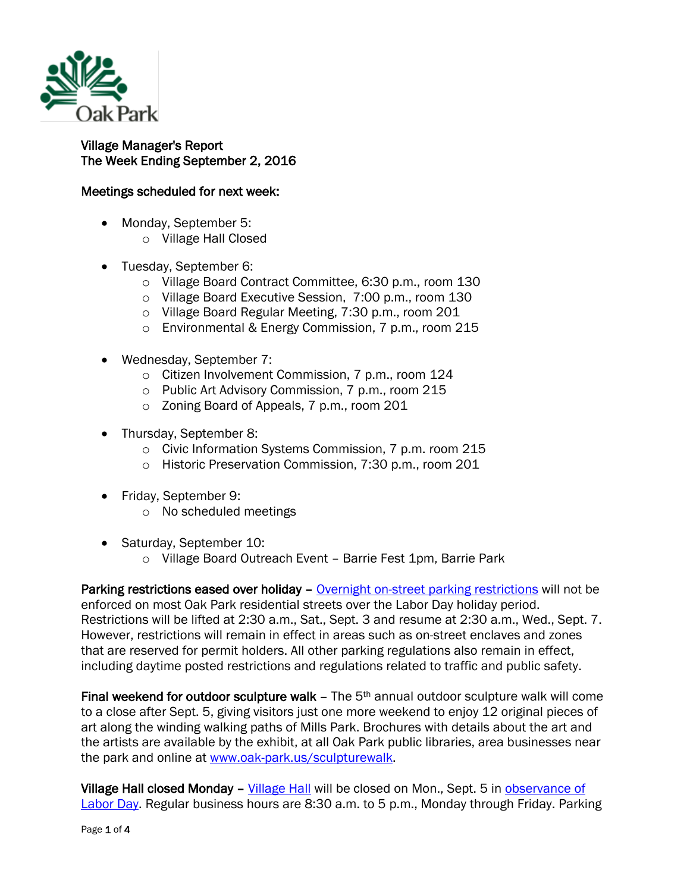

## Village Manager's Report The Week Ending September 2, 2016

## Meetings scheduled for next week:

- Monday, September 5:
	- o Village Hall Closed
- Tuesday, September 6:
	- o Village Board Contract Committee, 6:30 p.m., room 130
	- o Village Board Executive Session, 7:00 p.m., room 130
	- o Village Board Regular Meeting, 7:30 p.m., room 201
	- o Environmental & Energy Commission, 7 p.m., room 215
- Wednesday, September 7:
	- o Citizen Involvement Commission, 7 p.m., room 124
	- o Public Art Advisory Commission, 7 p.m., room 215
	- o Zoning Board of Appeals, 7 p.m., room 201
- Thursday, September 8:
	- o Civic Information Systems Commission, 7 p.m. room 215
	- o Historic Preservation Commission, 7:30 p.m., room 201
- Friday, September 9:
	- o No scheduled meetings
- Saturday, September 10:
	- o Village Board Outreach Event Barrie Fest 1pm, Barrie Park

Parking restrictions eased over holiday – [Overnight on-street parking restrictions](http://www.oak-park.us/village-services/parking/parking-guidelines-restrictions) will not be enforced on most Oak Park residential streets over the Labor Day holiday period. Restrictions will be lifted at 2:30 a.m., Sat., Sept. 3 and resume at 2:30 a.m., Wed., Sept. 7. However, restrictions will remain in effect in areas such as on-street enclaves and zones that are reserved for permit holders. All other parking regulations also remain in effect, including daytime posted restrictions and regulations related to traffic and public safety.

Final weekend for outdoor sculpture walk  $-$  The  $5<sup>th</sup>$  annual outdoor sculpture walk will come to a close after Sept. 5, giving visitors just one more weekend to enjoy 12 original pieces of art along the winding walking paths of Mills Park. Brochures with details about the art and the artists are available by the exhibit, at all Oak Park public libraries, area businesses near the park and online at [www.oak-park.us/sculpturewalk.](http://r20.rs6.net/tn.jsp?f=001RgsQEsjAtBQpfCndhKO9hDYBkas6_VUgAmnTuhSRuqFB8vptTbhuDS90ipEXSX23KYM9txi1TIHWjpwiJDPOSlkWxzzESAXrn5aQK_uRLnnhMHxDVhZc-RXkXpylc3WM1tDJPXxGu_CVHmZVP9_Os0RaLNLYloMz8VWXpqFbIzZEzS15B07sir9tpunMN8rU3dz6uSa-Gyv26zCAU4dhguIFAlSCFtOm5T37iUlyRDBK1aaXvxcKrYwUc8GXCrSr-EoBnytDdGM9moW3_r-Fs45gWIhEyKRnjUrPgzhb7CkRd3C2Qu_s1lW8MinSx8tv1ThGmRdBEjAmTW6fzTuwCA==&c=6PtkS5-_xTRfW07Tdojm9ATOWKvi_4jddv8YguQZbIemtn6jJw9pcg==&ch=YNJaHmBxRFTwtw0bp0enD54fIEwfMsz0cYPcZMPT-yUFWrfBkgFN1w==)

Village Hall closed Monday – [Village Hall](http://www.oak-park.us/your-government/village-manager/village-hall) will be closed on Mon., Sept. 5 in observance of [Labor Day.](https://www.dol.gov/general/laborday/history) Regular business hours are 8:30 a.m. to 5 p.m., Monday through Friday. Parking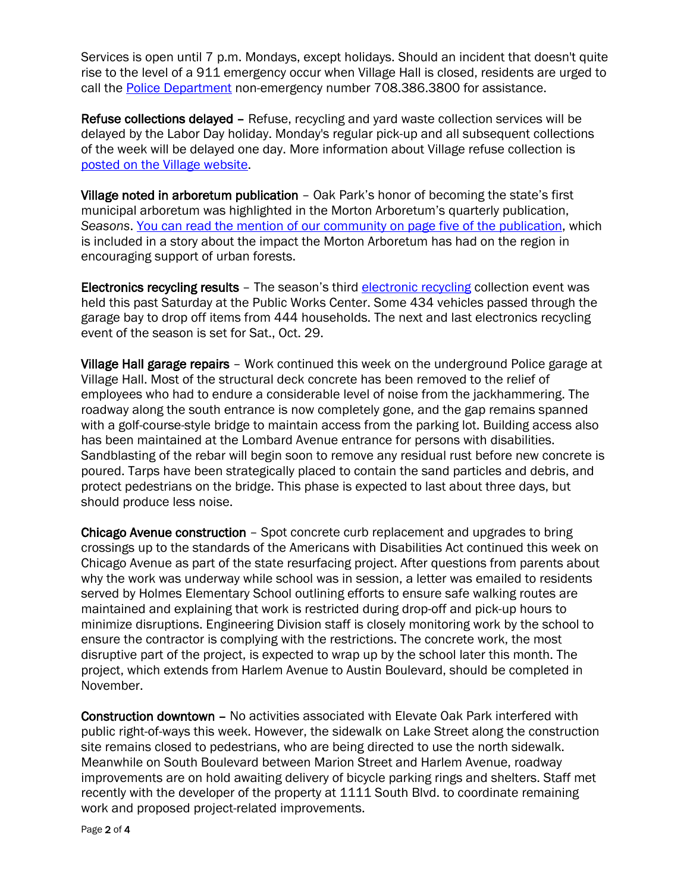Services is open until 7 p.m. Mondays, except holidays. Should an incident that doesn't quite rise to the level of a 911 emergency occur when Village Hall is closed, residents are urged to call the [Police Department](http://www.oak-park.us/village-services/police-department) non-emergency number 708.386.3800 for assistance.

Refuse collections delayed – Refuse, recycling and yard waste collection services will be delayed by the Labor Day holiday. Monday's regular pick-up and all subsequent collections of the week will be delayed one day. More information about Village refuse collection is [posted on the Village website.](http://www.oak-park.us/village-services/refuse-recycling)

Village noted in arboretum publication – Oak Park's honor of becoming the state's first municipal arboretum was highlighted in the Morton Arboretum's quarterly publication, *Seasons*. [You can read the mention of our community on page five of the publication,](http://viewer.epageview.com/Viewer.aspx?docid=0339aa35-9921-4b93-a227-a66c00aff0cd#?page=0) which is included in a story about the impact the Morton Arboretum has had on the region in encouraging support of urban forests.

Electronics recycling results – The season's third [electronic recycling](http://www.oak-park.us/village-services/refuse-recycling/recycling-old-electronics) collection event was held this past Saturday at the Public Works Center. Some 434 vehicles passed through the garage bay to drop off items from 444 households. The next and last electronics recycling event of the season is set for Sat., Oct. 29.

Village Hall garage repairs – Work continued this week on the underground Police garage at Village Hall. Most of the structural deck concrete has been removed to the relief of employees who had to endure a considerable level of noise from the jackhammering. The roadway along the south entrance is now completely gone, and the gap remains spanned with a golf-course-style bridge to maintain access from the parking lot. Building access also has been maintained at the Lombard Avenue entrance for persons with disabilities. Sandblasting of the rebar will begin soon to remove any residual rust before new concrete is poured. Tarps have been strategically placed to contain the sand particles and debris, and protect pedestrians on the bridge. This phase is expected to last about three days, but should produce less noise.

Chicago Avenue construction – Spot concrete curb replacement and upgrades to bring crossings up to the standards of the Americans with Disabilities Act continued this week on Chicago Avenue as part of the state resurfacing project. After questions from parents about why the work was underway while school was in session, a letter was emailed to residents served by Holmes Elementary School outlining efforts to ensure safe walking routes are maintained and explaining that work is restricted during drop-off and pick-up hours to minimize disruptions. Engineering Division staff is closely monitoring work by the school to ensure the contractor is complying with the restrictions. The concrete work, the most disruptive part of the project, is expected to wrap up by the school later this month. The project, which extends from Harlem Avenue to Austin Boulevard, should be completed in November.

Construction downtown – No activities associated with Elevate Oak Park interfered with public right-of-ways this week. However, the sidewalk on Lake Street along the construction site remains closed to pedestrians, who are being directed to use the north sidewalk. Meanwhile on South Boulevard between Marion Street and Harlem Avenue, roadway improvements are on hold awaiting delivery of bicycle parking rings and shelters. Staff met recently with the developer of the property at 1111 South Blvd. to coordinate remaining work and proposed project-related improvements.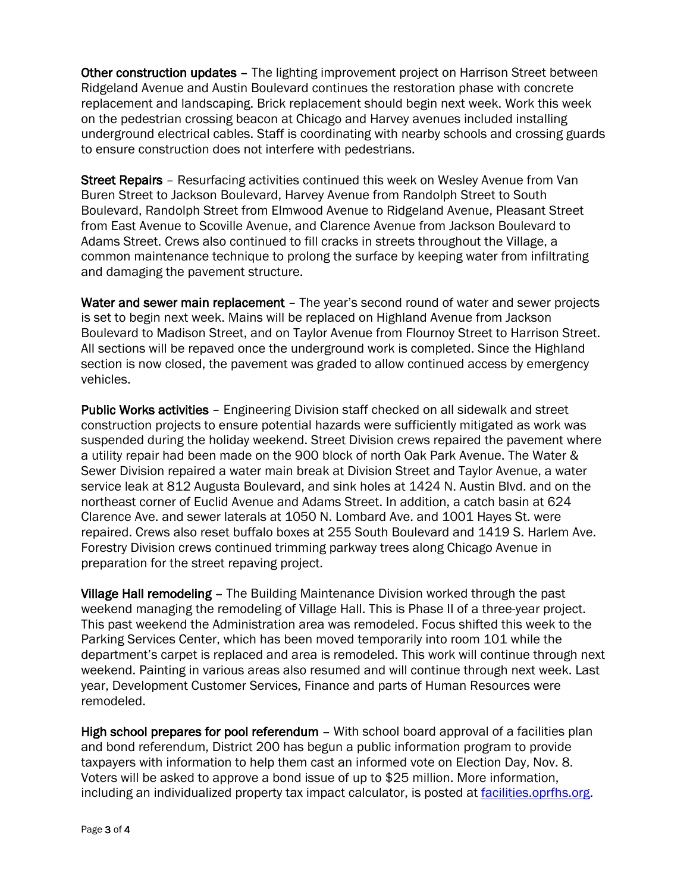Other construction updates – The lighting improvement project on Harrison Street between Ridgeland Avenue and Austin Boulevard continues the restoration phase with concrete replacement and landscaping. Brick replacement should begin next week. Work this week on the pedestrian crossing beacon at Chicago and Harvey avenues included installing underground electrical cables. Staff is coordinating with nearby schools and crossing guards to ensure construction does not interfere with pedestrians.

Street Repairs – Resurfacing activities continued this week on Wesley Avenue from Van Buren Street to Jackson Boulevard, Harvey Avenue from Randolph Street to South Boulevard, Randolph Street from Elmwood Avenue to Ridgeland Avenue, Pleasant Street from East Avenue to Scoville Avenue, and Clarence Avenue from Jackson Boulevard to Adams Street. Crews also continued to fill cracks in streets throughout the Village, a common maintenance technique to prolong the surface by keeping water from infiltrating and damaging the pavement structure.

Water and sewer main replacement – The year's second round of water and sewer projects is set to begin next week. Mains will be replaced on Highland Avenue from Jackson Boulevard to Madison Street, and on Taylor Avenue from Flournoy Street to Harrison Street. All sections will be repaved once the underground work is completed. Since the Highland section is now closed, the pavement was graded to allow continued access by emergency vehicles.

Public Works activities – Engineering Division staff checked on all sidewalk and street construction projects to ensure potential hazards were sufficiently mitigated as work was suspended during the holiday weekend. Street Division crews repaired the pavement where a utility repair had been made on the 900 block of north Oak Park Avenue. The Water & Sewer Division repaired a water main break at Division Street and Taylor Avenue, a water service leak at 812 Augusta Boulevard, and sink holes at 1424 N. Austin Blvd. and on the northeast corner of Euclid Avenue and Adams Street. In addition, a catch basin at 624 Clarence Ave. and sewer laterals at 1050 N. Lombard Ave. and 1001 Hayes St. were repaired. Crews also reset buffalo boxes at 255 South Boulevard and 1419 S. Harlem Ave. Forestry Division crews continued trimming parkway trees along Chicago Avenue in preparation for the street repaving project.

Village Hall remodeling – The Building Maintenance Division worked through the past weekend managing the remodeling of Village Hall. This is Phase II of a three-year project. This past weekend the Administration area was remodeled. Focus shifted this week to the Parking Services Center, which has been moved temporarily into room 101 while the department's carpet is replaced and area is remodeled. This work will continue through next weekend. Painting in various areas also resumed and will continue through next week. Last year, Development Customer Services, Finance and parts of Human Resources were remodeled.

High school prepares for pool referendum – With school board approval of a facilities plan and bond referendum, District 200 has begun a public information program to provide taxpayers with information to help them cast an informed vote on Election Day, Nov. 8. Voters will be asked to approve a bond issue of up to \$25 million. More information, including an individualized property tax impact calculator, is posted at [facilities.oprfhs.org.](http://r20.rs6.net/tn.jsp?f=001RgsQEsjAtBQpfCndhKO9hDYBkas6_VUgAmnTuhSRuqFB8vptTbhuDTzgqoBdN0ClnkKS-0ihwrI6ymvmlL3quLy9NvbGO20GKy868M1aM0PLKSGcdCe8dWJdpRPGmTSo7El5KAkcgKbb7MH_Q1cChCM_XPYoKFK0gMNKBQ4ahGyuSIFKvMr8p4HD-Cg1GRtllFzfh7JGpVD7s_bq-e3Ex4Ij7e-oc3oWq_H79DSOfNqh9YfwY6Qt35YzyUSeWzx2z6SiDmjO4pNZ3O32JSaDEb890uD3epwfrzuuYBi6_4I=&c=6PtkS5-_xTRfW07Tdojm9ATOWKvi_4jddv8YguQZbIemtn6jJw9pcg==&ch=YNJaHmBxRFTwtw0bp0enD54fIEwfMsz0cYPcZMPT-yUFWrfBkgFN1w==)